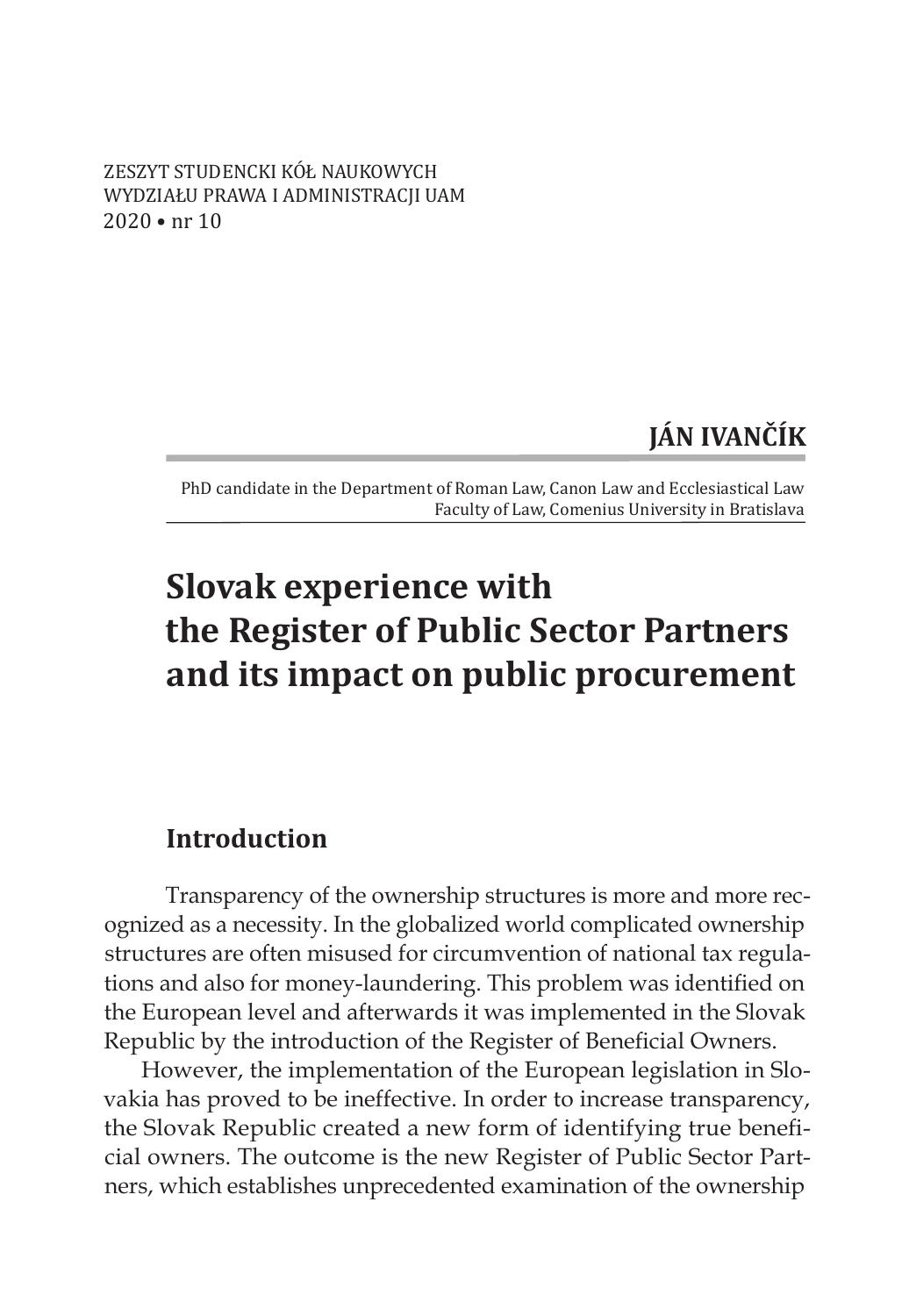ZESZYT STUDENCKI KÓŁ NAUKOWYCH WYDZIAŁU PRAWA I ADMINISTRACJI UAM 2020 • nr 10

# **JÁN IVANČÍK**

PhD candidate in the Department of Roman Law, Canon Law and Ecclesiastical Law Faculty of Law, Comenius University in Bratislava

# **Slovak experience with the Register of Public Sector Partners and its impact on public procurement**

### **Introduction**

Transparency of the ownership structures is more and more recognized as a necessity. In the globalized world complicated ownership structures are often misused for circumvention of national tax regulations and also for money-laundering. This problem was identified on the European level and afterwards it was implemented in the Slovak Republic by the introduction of the Register of Beneficial Owners.

However, the implementation of the European legislation in Slovakia has proved to be ineffective. In order to increase transparency, the Slovak Republic created a new form of identifying true beneficial owners. The outcome is the new Register of Public Sector Partners, which establishes unprecedented examination of the ownership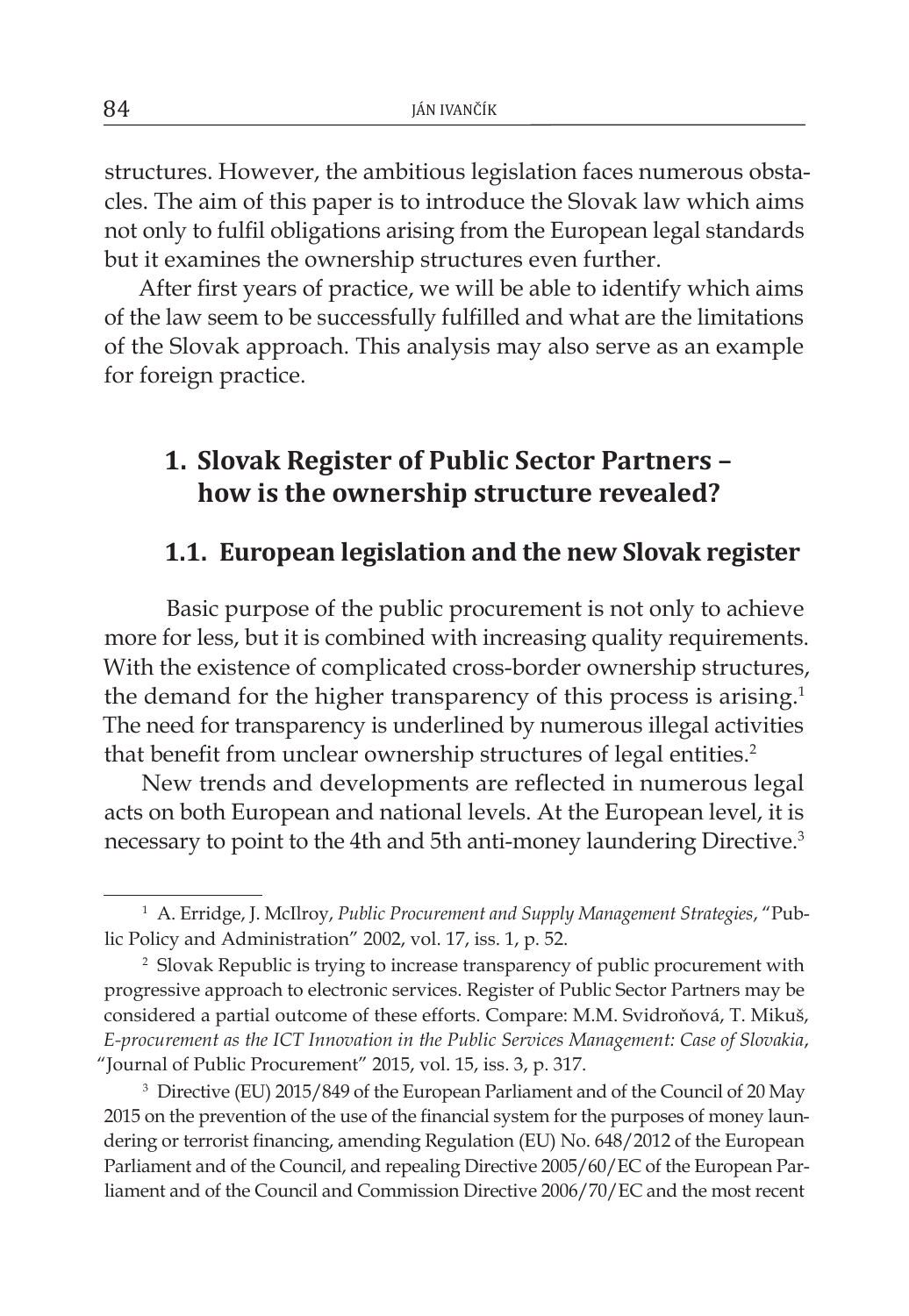structures. However, the ambitious legislation faces numerous obstacles. The aim of this paper is to introduce the Slovak law which aims not only to fulfil obligations arising from the European legal standards but it examines the ownership structures even further.

After first years of practice, we will be able to identify which aims of the law seem to be successfully fulfilled and what are the limitations of the Slovak approach. This analysis may also serve as an example for foreign practice.

# **1. Slovak Register of Public Sector Partners – how is the ownership structure revealed?**

#### **1.1. European legislation and the new Slovak register**

Basic purpose of the public procurement is not only to achieve more for less, but it is combined with increasing quality requirements. With the existence of complicated cross-border ownership structures, the demand for the higher transparency of this process is arising.<sup>1</sup> The need for transparency is underlined by numerous illegal activities that benefit from unclear ownership structures of legal entities.<sup>2</sup>

New trends and developments are reflected in numerous legal acts on both European and national levels. At the European level, it is necessary to point to the 4th and 5th anti-money laundering Directive.3

<sup>1</sup> A. Erridge, J. McIlroy, *Public Procurement and Supply Management Strategies*, "Public Policy and Administration" 2002, vol. 17, iss. 1, p. 52.

<sup>&</sup>lt;sup>2</sup> Slovak Republic is trying to increase transparency of public procurement with progressive approach to electronic services. Register of Public Sector Partners may be considered a partial outcome of these efforts. Compare: M.M. Svidroňová, T. Mikuš, *E-procurement as the ICT Innovation in the Public Services Management: Case of Slovakia*, "Journal of Public Procurement" 2015, vol. 15, iss. 3, p. 317.

<sup>&</sup>lt;sup>3</sup> Directive (EU) 2015/849 of the European Parliament and of the Council of 20 May 2015 on the prevention of the use of the financial system for the purposes of money laundering or terrorist financing, amending Regulation (EU) No. 648/2012 of the European Parliament and of the Council, and repealing Directive 2005/60/EC of the European Parliament and of the Council and Commission Directive 2006/70/EC and the most recent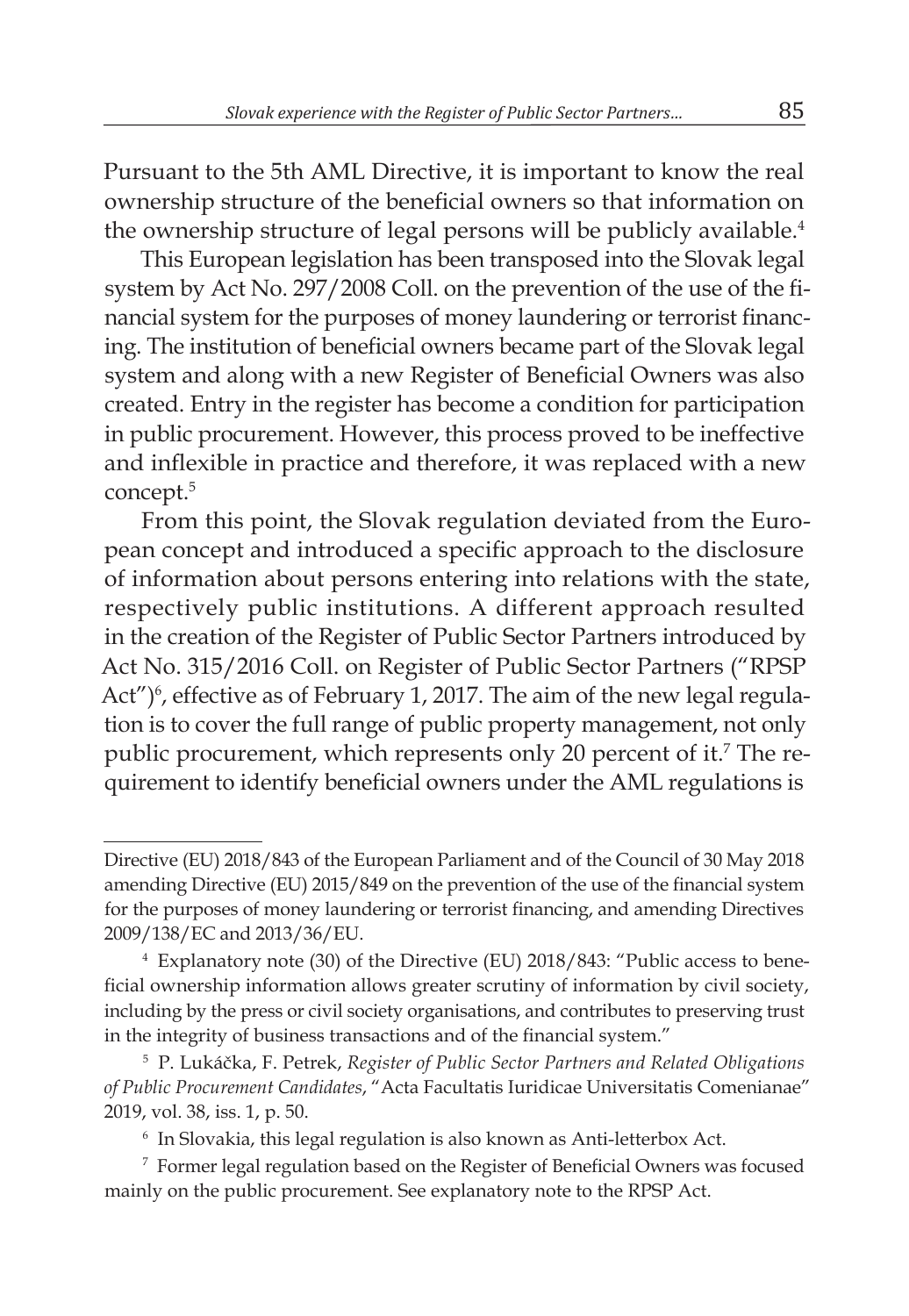Pursuant to the 5th AML Directive, it is important to know the real ownership structure of the beneficial owners so that information on the ownership structure of legal persons will be publicly available.<sup>4</sup>

This European legislation has been transposed into the Slovak legal system by Act No. 297/2008 Coll. on the prevention of the use of the financial system for the purposes of money laundering or terrorist financing. The institution of beneficial owners became part of the Slovak legal system and along with a new Register of Beneficial Owners was also created. Entry in the register has become a condition for participation in public procurement. However, this process proved to be ineffective and inflexible in practice and therefore, it was replaced with a new concept.<sup>5</sup>

From this point, the Slovak regulation deviated from the European concept and introduced a specific approach to the disclosure of information about persons entering into relations with the state, respectively public institutions. A different approach resulted in the creation of the Register of Public Sector Partners introduced by Act No. 315/2016 Coll. on Register of Public Sector Partners ("RPSP Act")<sup>6</sup>, effective as of February 1, 2017. The aim of the new legal regulation is to cover the full range of public property management, not only public procurement, which represents only 20 percent of it.<sup>7</sup> The requirement to identify beneficial owners under the AML regulations is

Directive (EU) 2018/843 of the European Parliament and of the Council of 30 May 2018 amending Directive (EU) 2015/849 on the prevention of the use of the financial system for the purposes of money laundering or terrorist financing, and amending Directives 2009/138/EC and 2013/36/EU.

<sup>4</sup> Explanatory note (30) of the Directive (EU) 2018/843: "Public access to beneficial ownership information allows greater scrutiny of information by civil society, including by the press or civil society organisations, and contributes to preserving trust in the integrity of business transactions and of the financial system."

<sup>5</sup> P. Lukáčka, F. Petrek, *Register of Public Sector Partners and Related Obligations of Public Procurement Candidates*, "Acta Facultatis Iuridicae Universitatis Comenianae" 2019, vol. 38, iss. 1, p. 50.

<sup>6</sup> In Slovakia, this legal regulation is also known as Anti-letterbox Act.

<sup>7</sup> Former legal regulation based on the Register of Beneficial Owners was focused mainly on the public procurement. See explanatory note to the RPSP Act.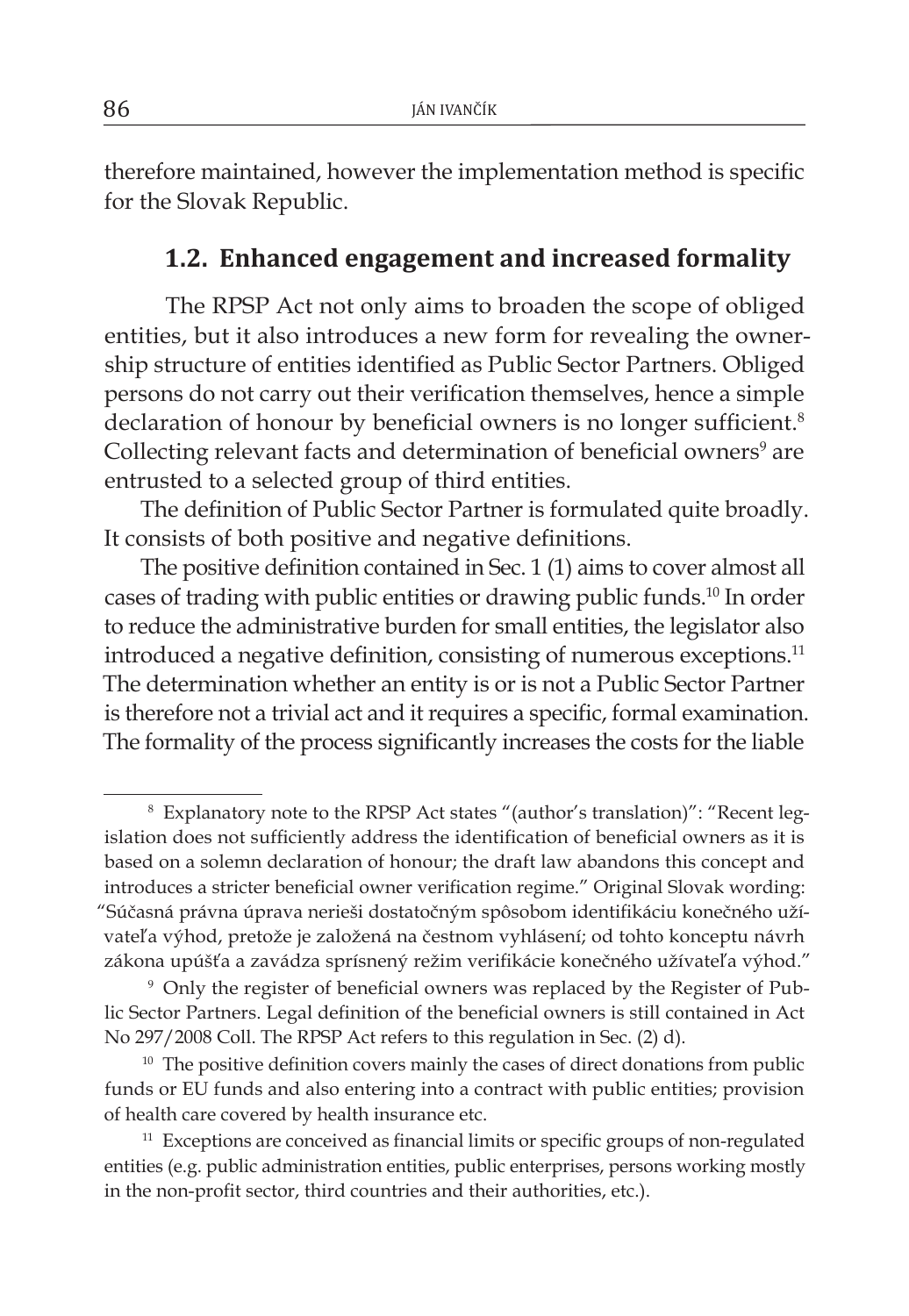therefore maintained, however the implementation method is specific for the Slovak Republic.

#### **1.2. Enhanced engagement and increased formality**

The RPSP Act not only aims to broaden the scope of obliged entities, but it also introduces a new form for revealing the ownership structure of entities identified as Public Sector Partners. Obliged persons do not carry out their verification themselves, hence a simple declaration of honour by beneficial owners is no longer sufficient.<sup>8</sup> Collecting relevant facts and determination of beneficial owners<sup>9</sup> are entrusted to a selected group of third entities.

The definition of Public Sector Partner is formulated quite broadly. It consists of both positive and negative definitions.

The positive definition contained in Sec. 1 (1) aims to cover almost all cases of trading with public entities or drawing public funds.10 In order to reduce the administrative burden for small entities, the legislator also introduced a negative definition, consisting of numerous exceptions.<sup>11</sup> The determination whether an entity is or is not a Public Sector Partner is therefore not a trivial act and it requires a specific, formal examination. The formality of the process significantly increases the costs for the liable

<sup>8</sup> Explanatory note to the RPSP Act states "(author's translation)": "Recent legislation does not sufficiently address the identification of beneficial owners as it is based on a solemn declaration of honour; the draft law abandons this concept and introduces a stricter beneficial owner verification regime." Original Slovak wording: "Súčasná právna úprava nerieši dostatočným spôsobom identifikáciu konečného užívateľa výhod, pretože je založená na čestnom vyhlásení; od tohto konceptu návrh zákona upúšťa a zavádza sprísnený režim verifikácie konečného užívateľa výhod."

<sup>9</sup> Only the register of beneficial owners was replaced by the Register of Public Sector Partners. Legal definition of the beneficial owners is still contained in Act No 297/2008 Coll. The RPSP Act refers to this regulation in Sec. (2) d).

 $10$  The positive definition covers mainly the cases of direct donations from public funds or EU funds and also entering into a contract with public entities; provision of health care covered by health insurance etc.

<sup>&</sup>lt;sup>11</sup> Exceptions are conceived as financial limits or specific groups of non-regulated entities (e.g. public administration entities, public enterprises, persons working mostly in the non-profit sector, third countries and their authorities, etc.).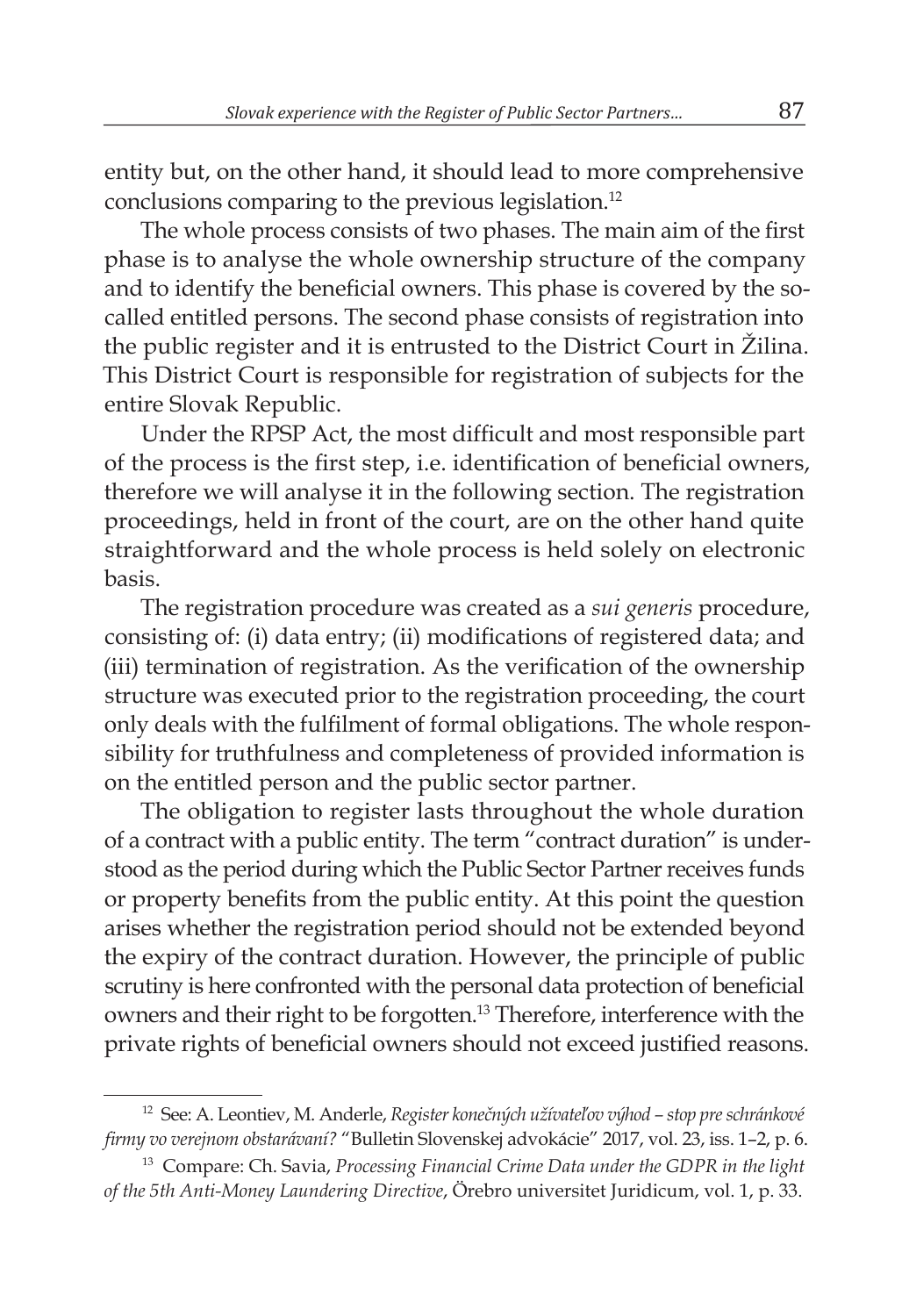entity but, on the other hand, it should lead to more comprehensive conclusions comparing to the previous legislation.12

The whole process consists of two phases. The main aim of the first phase is to analyse the whole ownership structure of the company and to identify the beneficial owners. This phase is covered by the socalled entitled persons. The second phase consists of registration into the public register and it is entrusted to the District Court in Žilina. This District Court is responsible for registration of subjects for the entire Slovak Republic.

Under the RPSP Act, the most difficult and most responsible part of the process is the first step, i.e. identification of beneficial owners, therefore we will analyse it in the following section. The registration proceedings, held in front of the court, are on the other hand quite straightforward and the whole process is held solely on electronic basis.

The registration procedure was created as a *sui generis* procedure, consisting of: (i) data entry; (ii) modifications of registered data; and (iii) termination of registration. As the verification of the ownership structure was executed prior to the registration proceeding, the court only deals with the fulfilment of formal obligations. The whole responsibility for truthfulness and completeness of provided information is on the entitled person and the public sector partner.

The obligation to register lasts throughout the whole duration of a contract with a public entity. The term "contract duration" is understood as the period during which the Public Sector Partner receives funds or property benefits from the public entity. At this point the question arises whether the registration period should not be extended beyond the expiry of the contract duration. However, the principle of public scrutiny is here confronted with the personal data protection of beneficial owners and their right to be forgotten.13 Therefore, interference with the private rights of beneficial owners should not exceed justified reasons.

<sup>12</sup> See: A. Leontiev, M. Anderle, *Register konečných užívateľov výhod – stop pre schránkové firmy vo verejnom obstarávaní?* "Bulletin Slovenskej advokácie" 2017, vol. 23, iss. 1–2, p. 6.

<sup>13</sup> Compare: Ch. Savia, *Processing Financial Crime Data under the GDPR in the light of the 5th Anti-Money Laundering Directive*, Örebro universitet Juridicum, vol. 1, p. 33.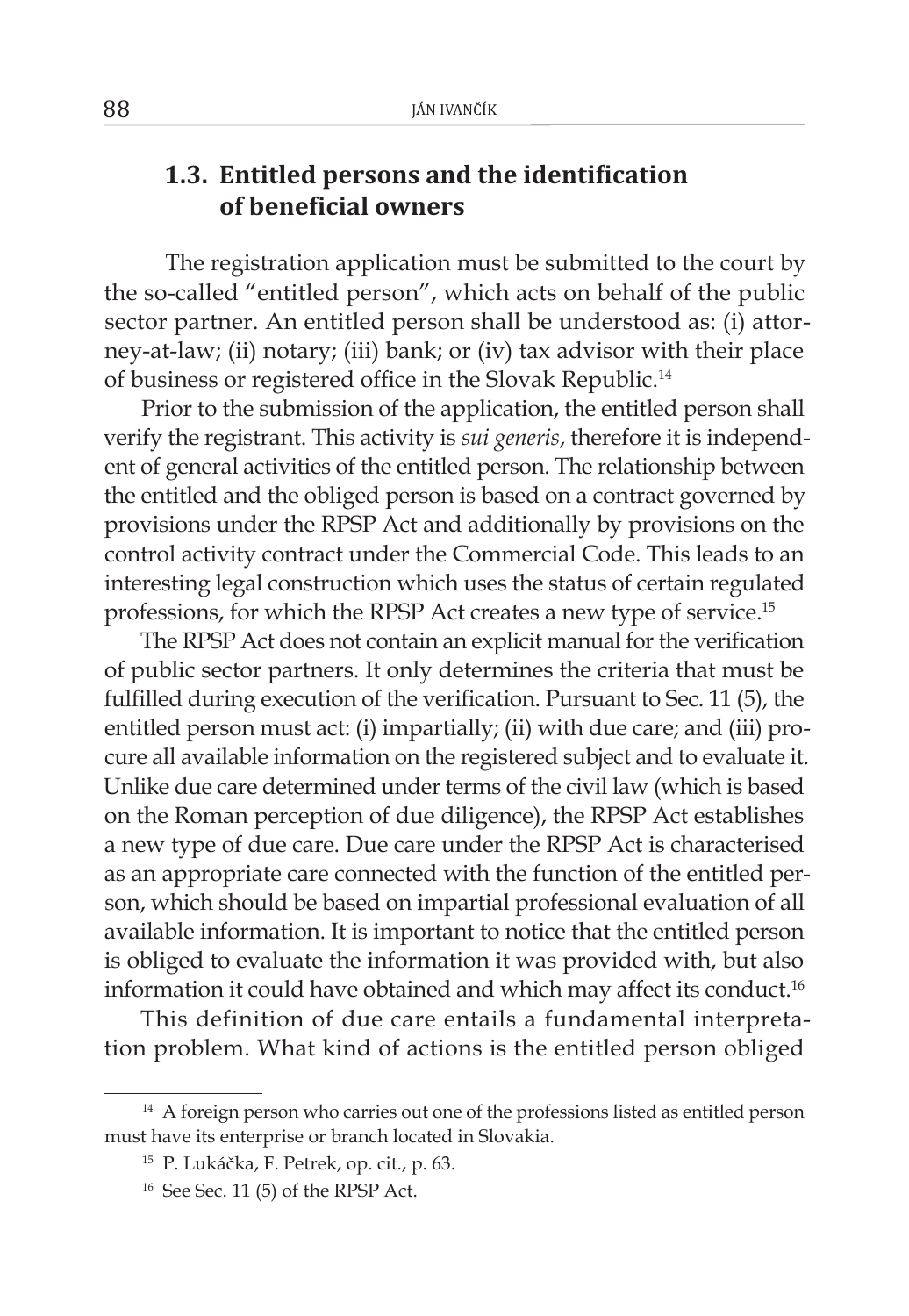### **1.3. Entitled persons and the identification of beneficial owners**

The registration application must be submitted to the court by the so-called "entitled person", which acts on behalf of the public sector partner. An entitled person shall be understood as: (i) attorney-at-law; (ii) notary; (iii) bank; or (iv) tax advisor with their place of business or registered office in the Slovak Republic.14

Prior to the submission of the application, the entitled person shall verify the registrant. This activity is *sui generis*, therefore it is independent of general activities of the entitled person. The relationship between the entitled and the obliged person is based on a contract governed by provisions under the RPSP Act and additionally by provisions on the control activity contract under the Commercial Code. This leads to an interesting legal construction which uses the status of certain regulated professions, for which the RPSP Act creates a new type of service.<sup>15</sup>

The RPSP Act does not contain an explicit manual for the verification of public sector partners. It only determines the criteria that must be fulfilled during execution of the verification. Pursuant to Sec. 11 (5), the entitled person must act: (i) impartially; (ii) with due care; and (iii) procure all available information on the registered subject and to evaluate it. Unlike due care determined under terms of the civil law (which is based on the Roman perception of due diligence), the RPSP Act establishes a new type of due care. Due care under the RPSP Act is characterised as an appropriate care connected with the function of the entitled person, which should be based on impartial professional evaluation of all available information. It is important to notice that the entitled person is obliged to evaluate the information it was provided with, but also information it could have obtained and which may affect its conduct.<sup>16</sup>

This definition of due care entails a fundamental interpretation problem. What kind of actions is the entitled person obliged

<sup>&</sup>lt;sup>14</sup> A foreign person who carries out one of the professions listed as entitled person must have its enterprise or branch located in Slovakia.

<sup>15</sup> P. Lukáčka, F. Petrek, op. cit., p. 63.

 $16$  See Sec. 11 (5) of the RPSP Act.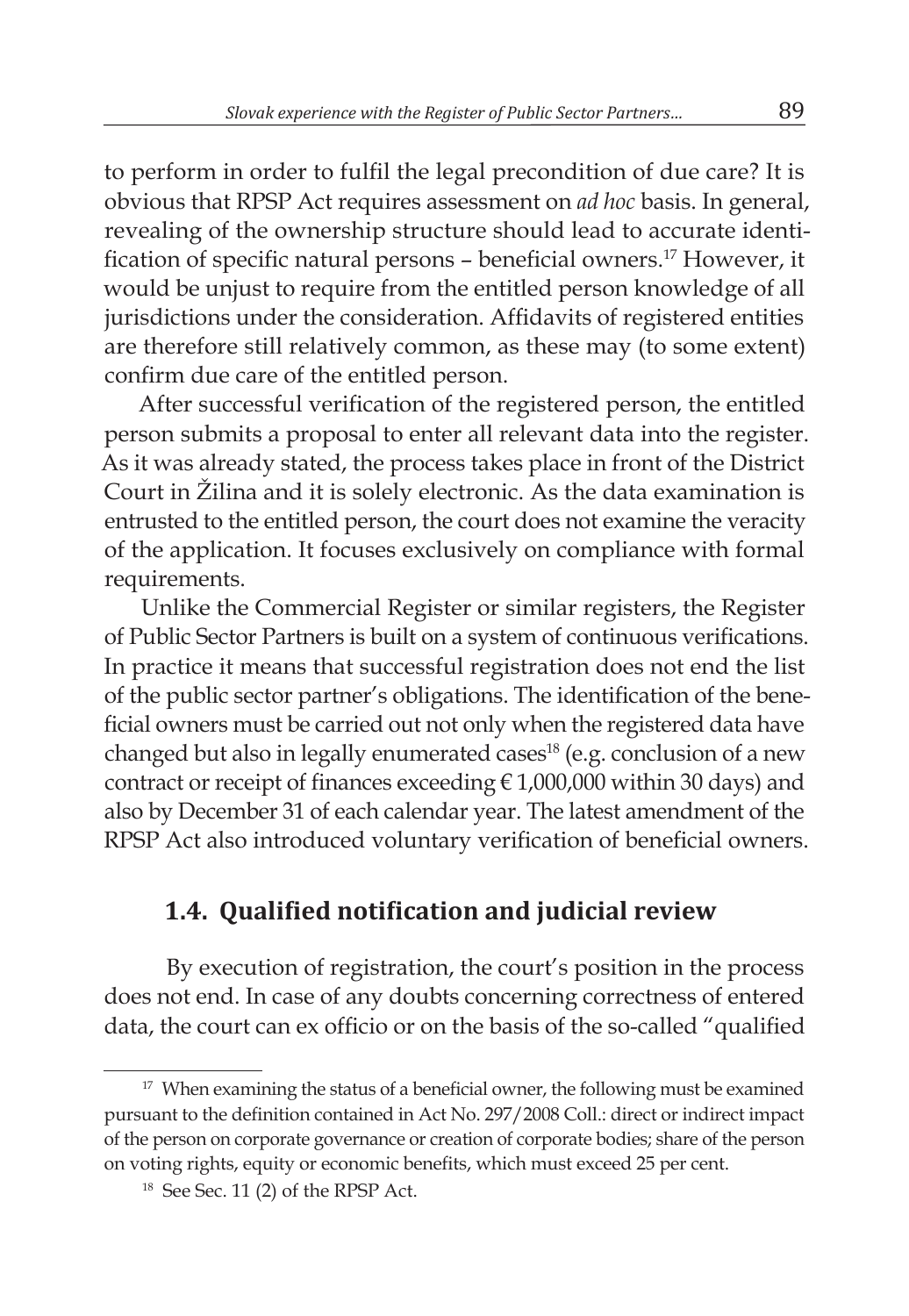to perform in order to fulfil the legal precondition of due care? It is obvious that RPSP Act requires assessment on *ad hoc* basis. In general, revealing of the ownership structure should lead to accurate identification of specific natural persons – beneficial owners.17 However, it would be unjust to require from the entitled person knowledge of all jurisdictions under the consideration. Affidavits of registered entities are therefore still relatively common, as these may (to some extent) confirm due care of the entitled person.

After successful verification of the registered person, the entitled person submits a proposal to enter all relevant data into the register. As it was already stated, the process takes place in front of the District Court in Žilina and it is solely electronic. As the data examination is entrusted to the entitled person, the court does not examine the veracity of the application. It focuses exclusively on compliance with formal requirements.

Unlike the Commercial Register or similar registers, the Register of Public Sector Partners is built on a system of continuous verifications. In practice it means that successful registration does not end the list of the public sector partner's obligations. The identification of the beneficial owners must be carried out not only when the registered data have changed but also in legally enumerated cases<sup>18</sup> (e.g. conclusion of a new contract or receipt of finances exceeding € 1,000,000 within 30 days) and also by December 31 of each calendar year. The latest amendment of the RPSP Act also introduced voluntary verification of beneficial owners.

### **1.4. Qualified notification and judicial review**

By execution of registration, the court's position in the process does not end. In case of any doubts concerning correctness of entered data, the court can ex officio or on the basis of the so-called "qualified

<sup>&</sup>lt;sup>17</sup> When examining the status of a beneficial owner, the following must be examined pursuant to the definition contained in Act No. 297/2008 Coll.: direct or indirect impact of the person on corporate governance or creation of corporate bodies; share of the person on voting rights, equity or economic benefits, which must exceed 25 per cent.

<sup>&</sup>lt;sup>18</sup> See Sec. 11 (2) of the RPSP Act.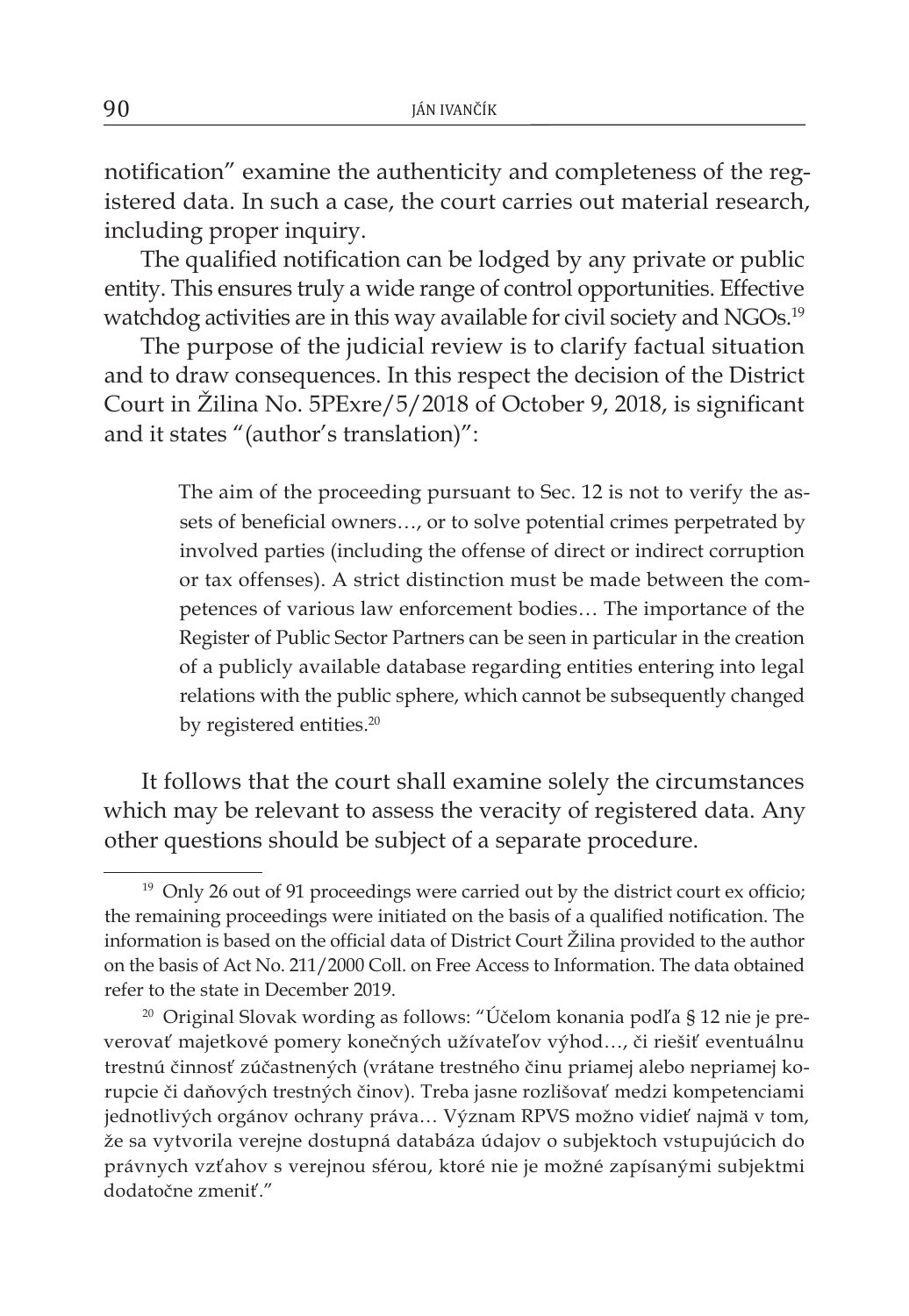notification" examine the authenticity and completeness of the registered data. In such a case, the court carries out material research, including proper inquiry.

The qualified notification can be lodged by any private or public entity. This ensures truly a wide range of control opportunities. Effective watchdog activities are in this way available for civil society and NGOs.<sup>19</sup>

The purpose of the judicial review is to clarify factual situation and to draw consequences. In this respect the decision of the District Court in Žilina No. 5PExre/5/2018 of October 9, 2018, is significant and it states "(author's translation)":

> The aim of the proceeding pursuant to Sec. 12 is not to verify the assets of beneficial owners…, or to solve potential crimes perpetrated by involved parties (including the offense of direct or indirect corruption or tax offenses). A strict distinction must be made between the competences of various law enforcement bodies… The importance of the Register of Public Sector Partners can be seen in particular in the creation of a publicly available database regarding entities entering into legal relations with the public sphere, which cannot be subsequently changed by registered entities.<sup>20</sup>

It follows that the court shall examine solely the circumstances which may be relevant to assess the veracity of registered data. Any other questions should be subject of a separate procedure.

<sup>&</sup>lt;sup>19</sup> Only 26 out of 91 proceedings were carried out by the district court ex officio; the remaining proceedings were initiated on the basis of a qualified notification. The information is based on the official data of District Court Žilina provided to the author on the basis of Act No. 211/2000 Coll. on Free Access to Information. The data obtained refer to the state in December 2019.

<sup>20</sup> Original Slovak wording as follows: "Účelom konania podľa § 12 nie je preverovať majetkové pomery konečných užívateľov výhod…, či riešiť eventuálnu trestnú činnosť zúčastnených (vrátane trestného činu priamej alebo nepriamej korupcie či daňových trestných činov). Treba jasne rozlišovať medzi kompetenciami jednotlivých orgánov ochrany práva… Význam RPVS možno vidieť najmä v tom, že sa vytvorila verejne dostupná databáza údajov o subjektoch vstupujúcich do právnych vzťahov s verejnou sférou, ktoré nie je možné zapísanými subjektmi dodatočne zmeniť."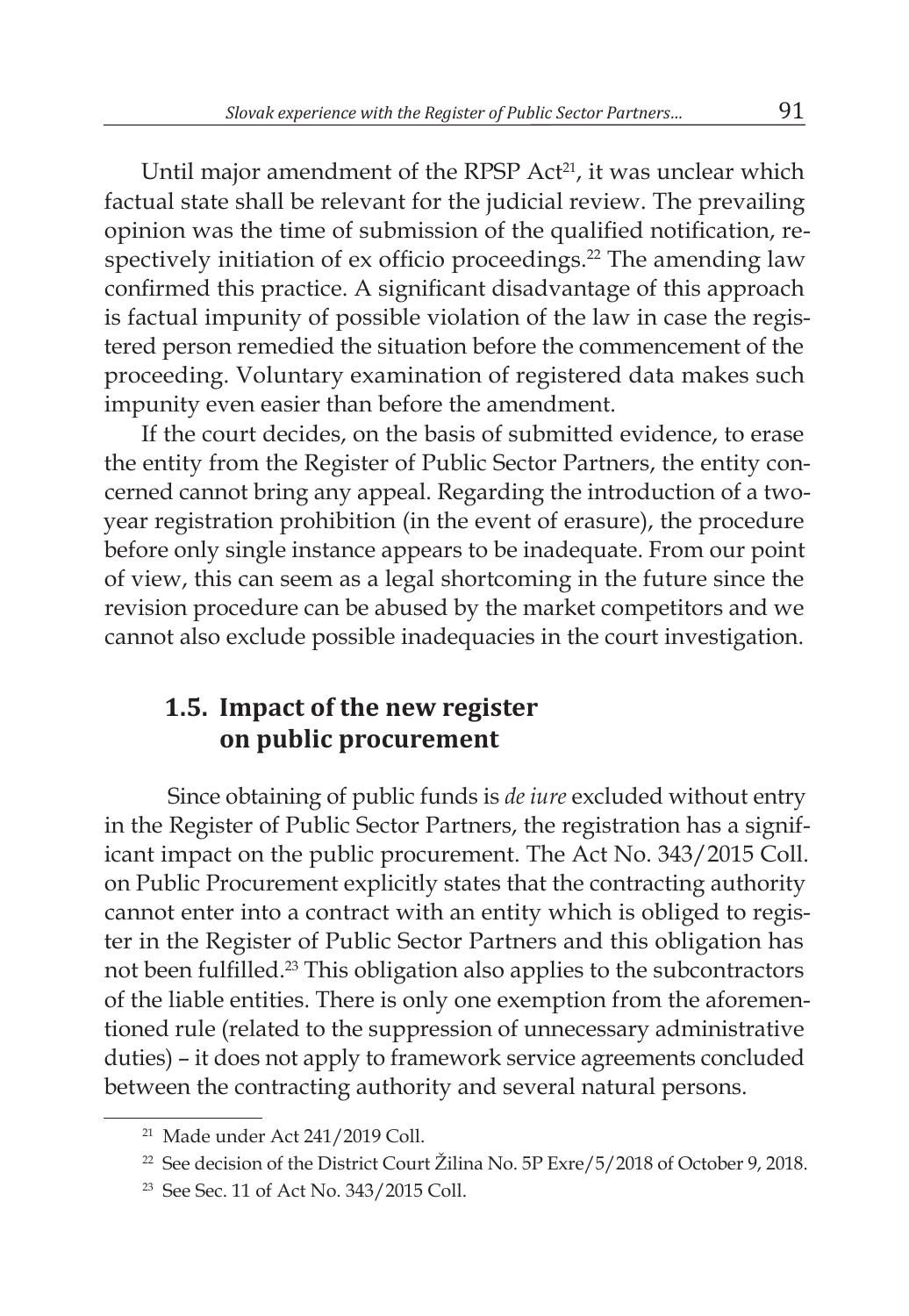Until major amendment of the RPSP Act<sup>21</sup>, it was unclear which factual state shall be relevant for the judicial review. The prevailing opinion was the time of submission of the qualified notification, respectively initiation of ex officio proceedings.<sup>22</sup> The amending law confirmed this practice. A significant disadvantage of this approach is factual impunity of possible violation of the law in case the registered person remedied the situation before the commencement of the proceeding. Voluntary examination of registered data makes such impunity even easier than before the amendment.

If the court decides, on the basis of submitted evidence, to erase the entity from the Register of Public Sector Partners, the entity concerned cannot bring any appeal. Regarding the introduction of a twoyear registration prohibition (in the event of erasure), the procedure before only single instance appears to be inadequate. From our point of view, this can seem as a legal shortcoming in the future since the revision procedure can be abused by the market competitors and we cannot also exclude possible inadequacies in the court investigation.

## **1.5. Impact of the new register on public procurement**

Since obtaining of public funds is *de iure* excluded without entry in the Register of Public Sector Partners, the registration has a significant impact on the public procurement. The Act No. 343/2015 Coll. on Public Procurement explicitly states that the contracting authority cannot enter into a contract with an entity which is obliged to register in the Register of Public Sector Partners and this obligation has not been fulfilled.23 This obligation also applies to the subcontractors of the liable entities. There is only one exemption from the aforementioned rule (related to the suppression of unnecessary administrative duties) – it does not apply to framework service agreements concluded between the contracting authority and several natural persons.

<sup>21</sup> Made under Act 241/2019 Coll.

<sup>&</sup>lt;sup>22</sup> See decision of the District Court Žilina No. 5P Exre/5/2018 of October 9, 2018.

<sup>23</sup> See Sec. 11 of Act No. 343/2015 Coll.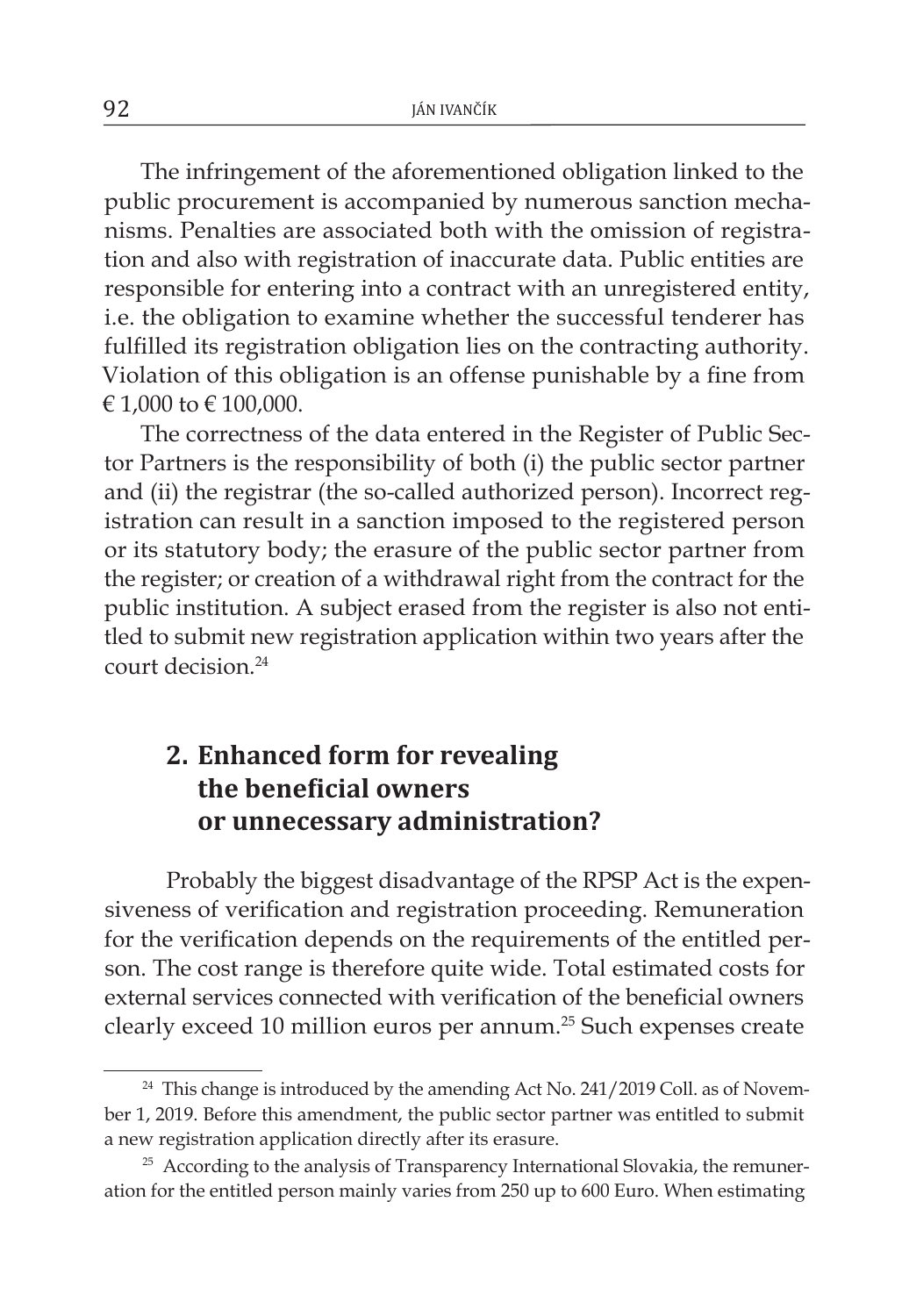The infringement of the aforementioned obligation linked to the public procurement is accompanied by numerous sanction mechanisms. Penalties are associated both with the omission of registration and also with registration of inaccurate data. Public entities are responsible for entering into a contract with an unregistered entity, i.e. the obligation to examine whether the successful tenderer has fulfilled its registration obligation lies on the contracting authority. Violation of this obligation is an offense punishable by a fine from € 1,000 to € 100,000.

The correctness of the data entered in the Register of Public Sector Partners is the responsibility of both (i) the public sector partner and (ii) the registrar (the so-called authorized person). Incorrect registration can result in a sanction imposed to the registered person or its statutory body; the erasure of the public sector partner from the register; or creation of a withdrawal right from the contract for the public institution. A subject erased from the register is also not entitled to submit new registration application within two years after the court decision<sup>24</sup>

# **2. Enhanced form for revealing the beneficial owners or unnecessary administration?**

Probably the biggest disadvantage of the RPSP Act is the expensiveness of verification and registration proceeding. Remuneration for the verification depends on the requirements of the entitled person. The cost range is therefore quite wide. Total estimated costs for external services connected with verification of the beneficial owners clearly exceed 10 million euros per annum.25 Such expenses create

<sup>&</sup>lt;sup>24</sup> This change is introduced by the amending Act No. 241/2019 Coll. as of November 1, 2019. Before this amendment, the public sector partner was entitled to submit a new registration application directly after its erasure.

<sup>&</sup>lt;sup>25</sup> According to the analysis of Transparency International Slovakia, the remuneration for the entitled person mainly varies from 250 up to 600 Euro. When estimating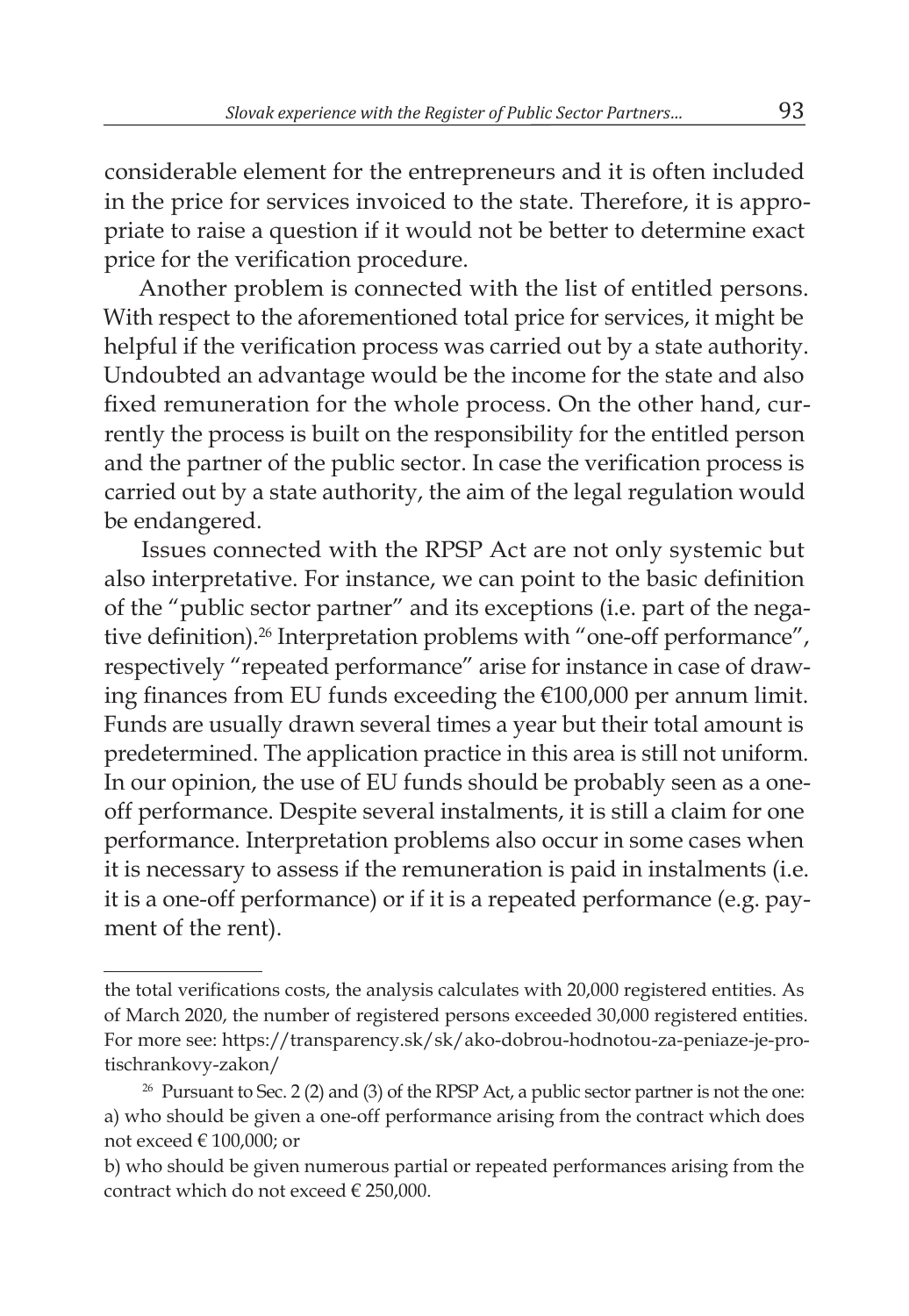considerable element for the entrepreneurs and it is often included in the price for services invoiced to the state. Therefore, it is appropriate to raise a question if it would not be better to determine exact price for the verification procedure.

Another problem is connected with the list of entitled persons. With respect to the aforementioned total price for services, it might be helpful if the verification process was carried out by a state authority. Undoubted an advantage would be the income for the state and also fixed remuneration for the whole process. On the other hand, currently the process is built on the responsibility for the entitled person and the partner of the public sector. In case the verification process is carried out by a state authority, the aim of the legal regulation would be endangered.

Issues connected with the RPSP Act are not only systemic but also interpretative. For instance, we can point to the basic definition of the "public sector partner" and its exceptions (i.e. part of the negative definition).<sup>26</sup> Interpretation problems with "one-off performance", respectively "repeated performance" arise for instance in case of drawing finances from EU funds exceeding the €100,000 per annum limit. Funds are usually drawn several times a year but their total amount is predetermined. The application practice in this area is still not uniform. In our opinion, the use of EU funds should be probably seen as a oneoff performance. Despite several instalments, it is still a claim for one performance. Interpretation problems also occur in some cases when it is necessary to assess if the remuneration is paid in instalments (i.e. it is a one-off performance) or if it is a repeated performance (e.g. payment of the rent).

the total verifications costs, the analysis calculates with 20,000 registered entities. As of March 2020, the number of registered persons exceeded 30,000 registered entities. For more see: https://transparency.sk/sk/ako-dobrou-hodnotou-za-peniaze-je-protischrankovy-zakon/

 $26$  Pursuant to Sec. 2 (2) and (3) of the RPSP Act, a public sector partner is not the one: a) who should be given a one-off performance arising from the contract which does not exceed  $\in$  100,000; or

b) who should be given numerous partial or repeated performances arising from the contract which do not exceed  $\in$  250,000.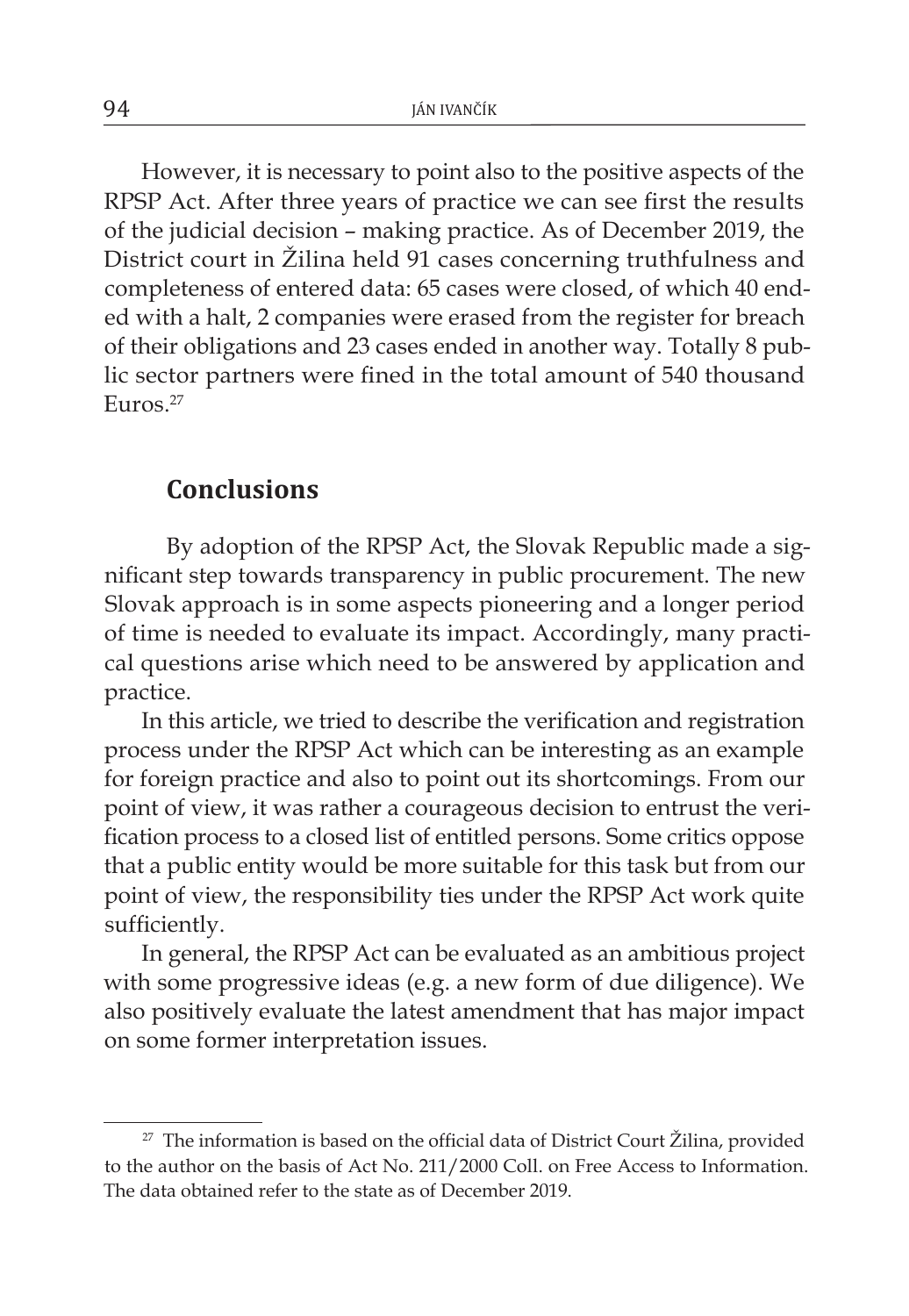However, it is necessary to point also to the positive aspects of the RPSP Act. After three years of practice we can see first the results of the judicial decision – making practice. As of December 2019, the District court in Žilina held 91 cases concerning truthfulness and completeness of entered data: 65 cases were closed, of which 40 ended with a halt, 2 companies were erased from the register for breach of their obligations and 23 cases ended in another way. Totally 8 public sector partners were fined in the total amount of 540 thousand Euros. $27$ 

#### **Conclusions**

By adoption of the RPSP Act, the Slovak Republic made a significant step towards transparency in public procurement. The new Slovak approach is in some aspects pioneering and a longer period of time is needed to evaluate its impact. Accordingly, many practical questions arise which need to be answered by application and practice.

In this article, we tried to describe the verification and registration process under the RPSP Act which can be interesting as an example for foreign practice and also to point out its shortcomings. From our point of view, it was rather a courageous decision to entrust the verification process to a closed list of entitled persons. Some critics oppose that a public entity would be more suitable for this task but from our point of view, the responsibility ties under the RPSP Act work quite sufficiently.

In general, the RPSP Act can be evaluated as an ambitious project with some progressive ideas (e.g. a new form of due diligence). We also positively evaluate the latest amendment that has major impact on some former interpretation issues.

 $27$  The information is based on the official data of District Court Žilina, provided to the author on the basis of Act No. 211/2000 Coll. on Free Access to Information. The data obtained refer to the state as of December 2019.